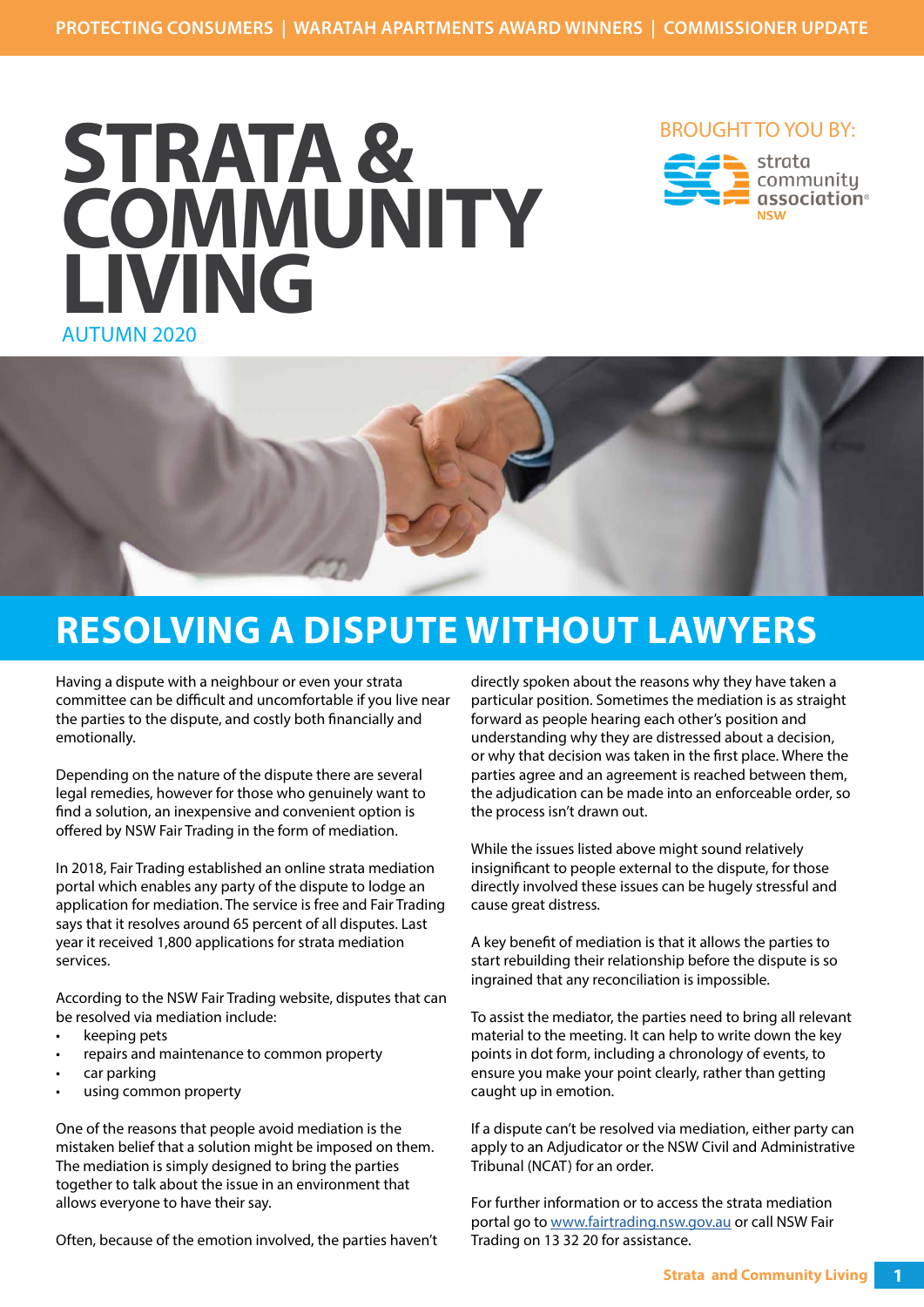

### BROUGHT TO YOU BY:





# **RESOLVING A DISPUTE WITHOUT LAWYERS**

Having a dispute with a neighbour or even your strata committee can be difficult and uncomfortable if you live near the parties to the dispute, and costly both financially and emotionally.

Depending on the nature of the dispute there are several legal remedies, however for those who genuinely want to find a solution, an inexpensive and convenient option is offered by NSW Fair Trading in the form of mediation.

In 2018, Fair Trading established an online strata mediation portal which enables any party of the dispute to lodge an application for mediation. The service is free and Fair Trading says that it resolves around 65 percent of all disputes. Last year it received 1,800 applications for strata mediation services.

According to the NSW Fair Trading website, disputes that can be resolved via mediation include:

- keeping pets
- repairs and maintenance to common property
- car parking
- using common property

One of the reasons that people avoid mediation is the mistaken belief that a solution might be imposed on them. The mediation is simply designed to bring the parties together to talk about the issue in an environment that allows everyone to have their say.

Often, because of the emotion involved, the parties haven't

directly spoken about the reasons why they have taken a particular position. Sometimes the mediation is as straight forward as people hearing each other's position and understanding why they are distressed about a decision, or why that decision was taken in the first place. Where the parties agree and an agreement is reached between them, the adjudication can be made into an enforceable order, so the process isn't drawn out.

While the issues listed above might sound relatively insignificant to people external to the dispute, for those directly involved these issues can be hugely stressful and cause great distress.

A key benefit of mediation is that it allows the parties to start rebuilding their relationship before the dispute is so ingrained that any reconciliation is impossible.

To assist the mediator, the parties need to bring all relevant material to the meeting. It can help to write down the key points in dot form, including a chronology of events, to ensure you make your point clearly, rather than getting caught up in emotion.

If a dispute can't be resolved via mediation, either party can apply to an Adjudicator or the NSW Civil and Administrative Tribunal (NCAT) for an order.

For further information or to access the strata mediation portal go to www.fairtrading.nsw.gov.au or call NSW Fair Trading on 13 32 20 for assistance.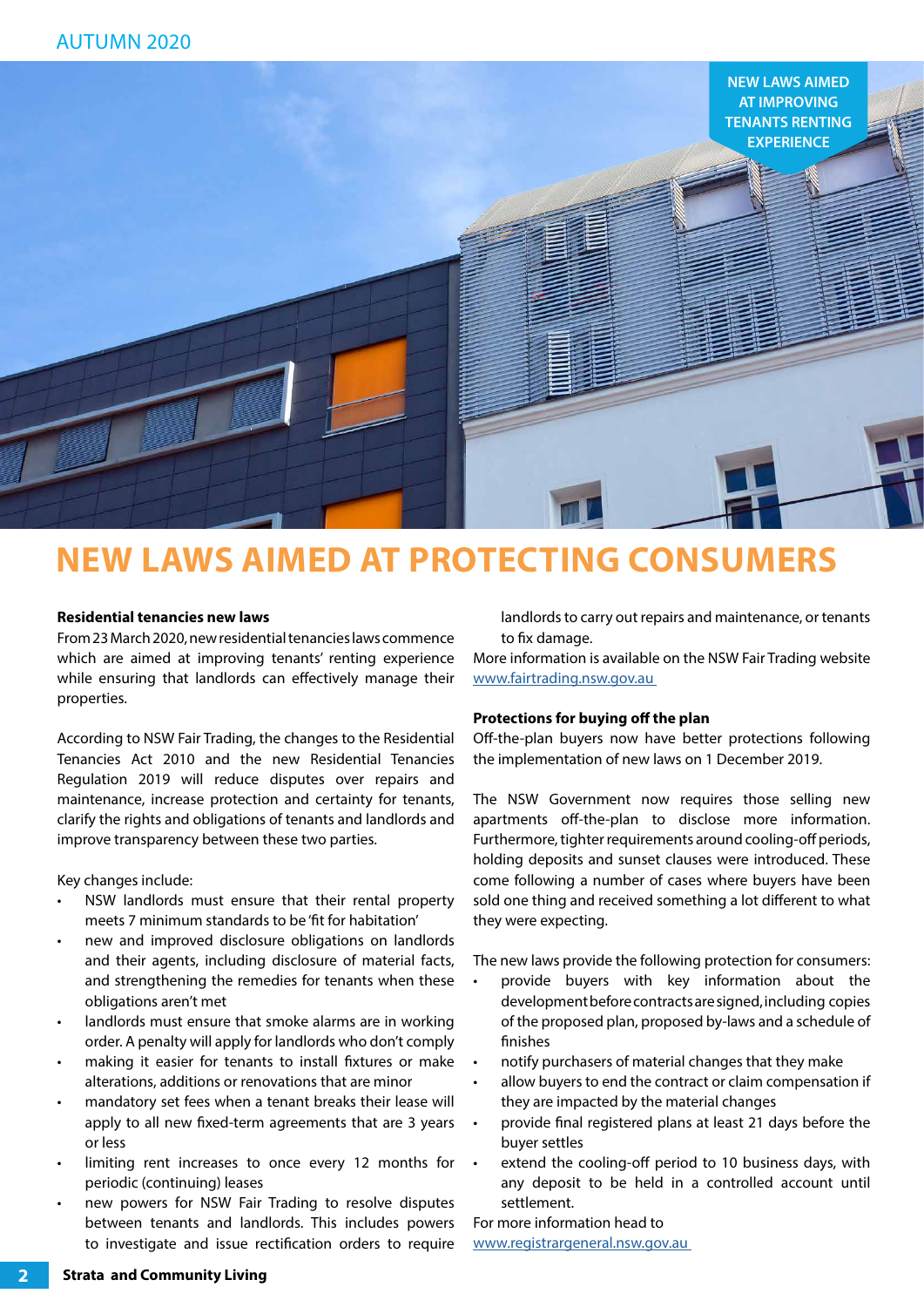

## **NEW LAWS AIMED AT PROTECTING CONSUMERS**

#### **Residential tenancies new laws**

From 23 March 2020, new residential tenancies laws commence which are aimed at improving tenants' renting experience while ensuring that landlords can effectively manage their properties.

According to NSW Fair Trading, the changes to the Residential Tenancies Act 2010 and the new Residential Tenancies Regulation 2019 will reduce disputes over repairs and maintenance, increase protection and certainty for tenants, clarify the rights and obligations of tenants and landlords and improve transparency between these two parties.

Key changes include:

- NSW landlords must ensure that their rental property meets 7 minimum standards to be 'fit for habitation'
- new and improved disclosure obligations on landlords and their agents, including disclosure of material facts, and strengthening the remedies for tenants when these obligations aren't met
- landlords must ensure that smoke alarms are in working order. A penalty will apply for landlords who don't comply
- making it easier for tenants to install fixtures or make alterations, additions or renovations that are minor
- mandatory set fees when a tenant breaks their lease will apply to all new fixed-term agreements that are 3 years or less
- limiting rent increases to once every 12 months for periodic (continuing) leases
- new powers for NSW Fair Trading to resolve disputes between tenants and landlords. This includes powers to investigate and issue rectification orders to require

landlords to carry out repairs and maintenance, or tenants to fix damage.

More information is available on the NSW Fair Trading website www.fairtrading.nsw.gov.au

#### **Protections for buying off the plan**

Off-the-plan buyers now have better protections following the implementation of new laws on 1 December 2019.

The NSW Government now requires those selling new apartments off-the-plan to disclose more information. Furthermore, tighter requirements around cooling-off periods, holding deposits and sunset clauses were introduced. These come following a number of cases where buyers have been sold one thing and received something a lot different to what they were expecting.

The new laws provide the following protection for consumers:

- provide buyers with key information about the development before contracts are signed, including copies of the proposed plan, proposed by-laws and a schedule of finishes
- notify purchasers of material changes that they make
- allow buyers to end the contract or claim compensation if they are impacted by the material changes
- provide final registered plans at least 21 days before the buyer settles
- extend the cooling-off period to 10 business days, with any deposit to be held in a controlled account until settlement.

For more information head to www.registrargeneral.nsw.gov.au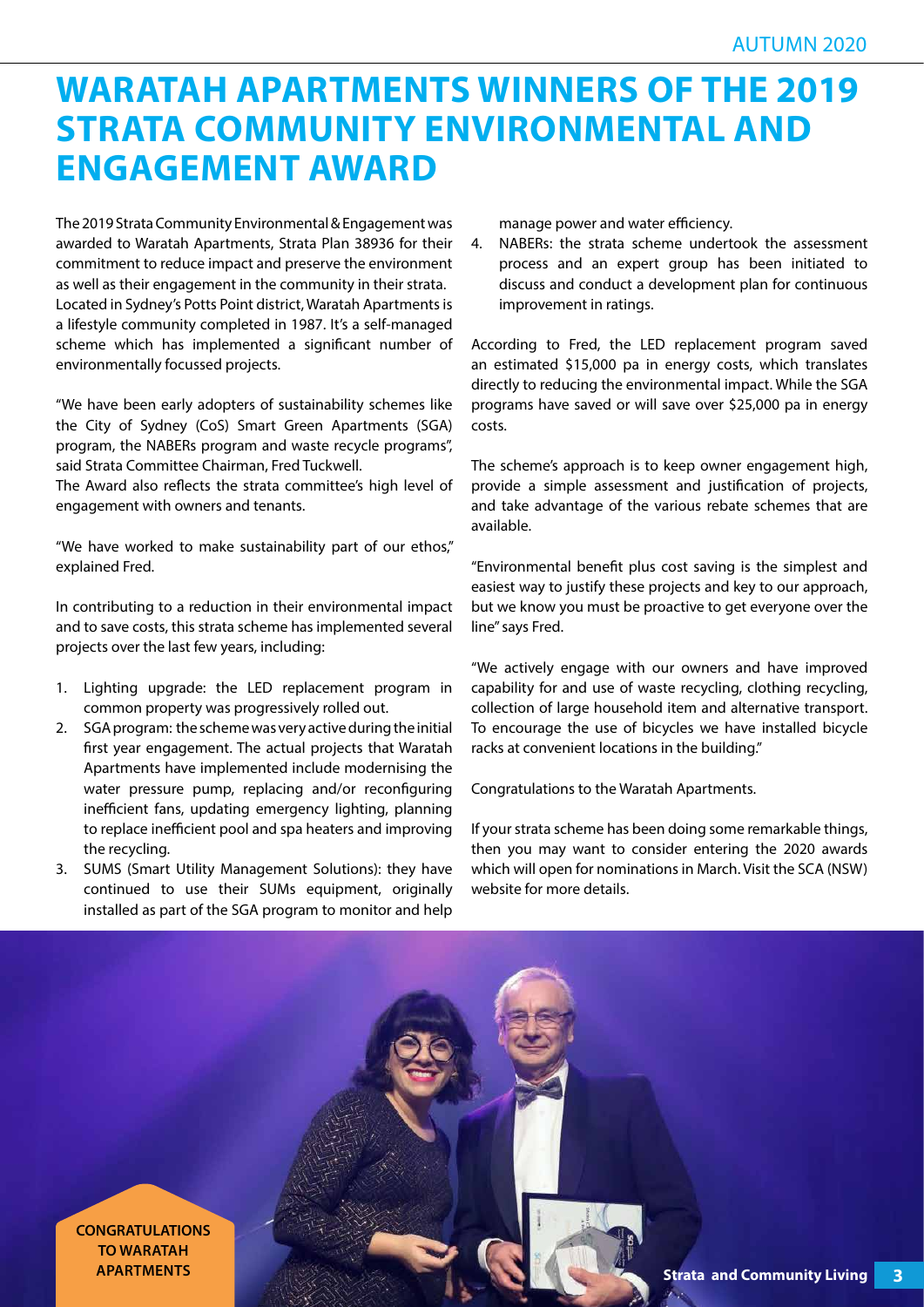## **WARATAH APARTMENTS WINNERS OF THE 2019 STRATA COMMUNITY ENVIRONMENTAL AND ENGAGEMENT AWARD**

The 2019 Strata Community Environmental & Engagement was awarded to Waratah Apartments, Strata Plan 38936 for their commitment to reduce impact and preserve the environment as well as their engagement in the community in their strata. Located in Sydney's Potts Point district, Waratah Apartments is a lifestyle community completed in 1987. It's a self-managed scheme which has implemented a significant number of environmentally focussed projects.

"We have been early adopters of sustainability schemes like the City of Sydney (CoS) Smart Green Apartments (SGA) program, the NABERs program and waste recycle programs", said Strata Committee Chairman, Fred Tuckwell.

The Award also reflects the strata committee's high level of engagement with owners and tenants.

"We have worked to make sustainability part of our ethos," explained Fred.

In contributing to a reduction in their environmental impact and to save costs, this strata scheme has implemented several projects over the last few years, including:

- 1. Lighting upgrade: the LED replacement program in common property was progressively rolled out.
- 2. SGA program: the scheme was very active during the initial first year engagement. The actual projects that Waratah Apartments have implemented include modernising the water pressure pump, replacing and/or reconfiguring inefficient fans, updating emergency lighting, planning to replace inefficient pool and spa heaters and improving the recycling.
- 3. SUMS (Smart Utility Management Solutions): they have continued to use their SUMs equipment, originally installed as part of the SGA program to monitor and help

manage power and water efficiency.

4. NABERs: the strata scheme undertook the assessment process and an expert group has been initiated to discuss and conduct a development plan for continuous improvement in ratings.

According to Fred, the LED replacement program saved an estimated \$15,000 pa in energy costs, which translates directly to reducing the environmental impact. While the SGA programs have saved or will save over \$25,000 pa in energy costs.

The scheme's approach is to keep owner engagement high, provide a simple assessment and justification of projects, and take advantage of the various rebate schemes that are available.

"Environmental benefit plus cost saving is the simplest and easiest way to justify these projects and key to our approach, but we know you must be proactive to get everyone over the line" says Fred.

"We actively engage with our owners and have improved capability for and use of waste recycling, clothing recycling, collection of large household item and alternative transport. To encourage the use of bicycles we have installed bicycle racks at convenient locations in the building."

Congratulations to the Waratah Apartments.

If your strata scheme has been doing some remarkable things, then you may want to consider entering the 2020 awards which will open for nominations in March. Visit the SCA (NSW) website for more details.